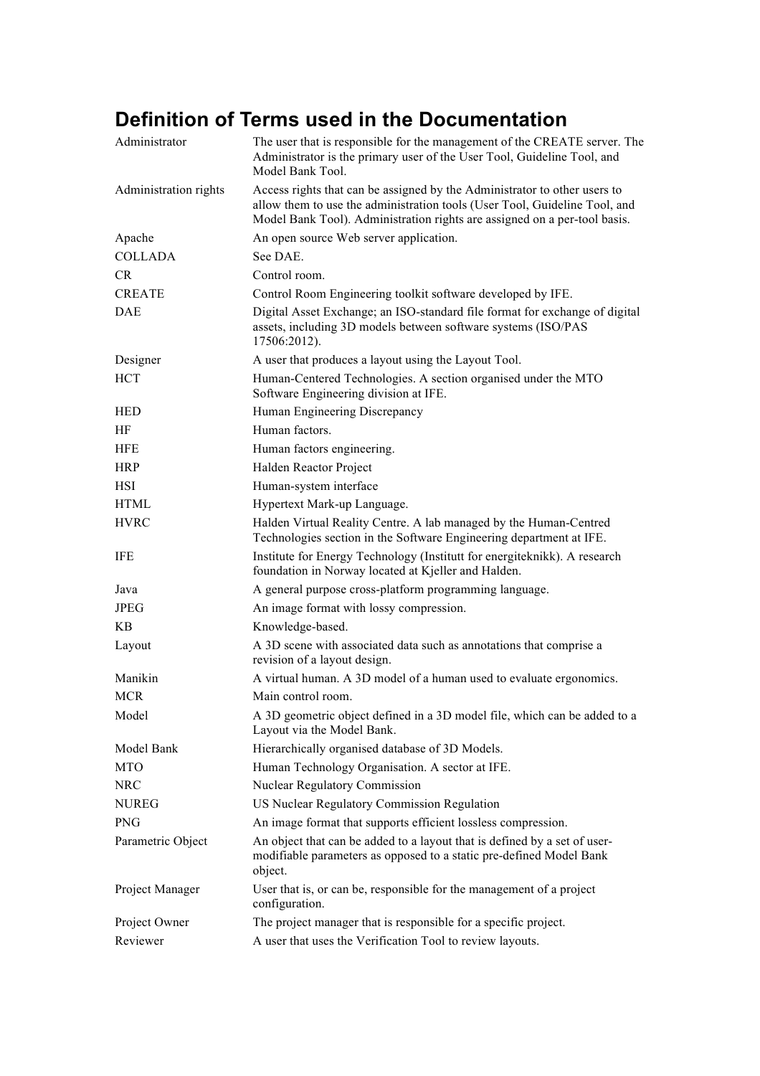## **Definition of Terms used in the Documentation**

| Administrator         | The user that is responsible for the management of the CREATE server. The<br>Administrator is the primary user of the User Tool, Guideline Tool, and<br>Model Bank Tool.                                                             |
|-----------------------|--------------------------------------------------------------------------------------------------------------------------------------------------------------------------------------------------------------------------------------|
| Administration rights | Access rights that can be assigned by the Administrator to other users to<br>allow them to use the administration tools (User Tool, Guideline Tool, and<br>Model Bank Tool). Administration rights are assigned on a per-tool basis. |
| Apache                | An open source Web server application.                                                                                                                                                                                               |
| <b>COLLADA</b>        | See DAE.                                                                                                                                                                                                                             |
| CR                    | Control room.                                                                                                                                                                                                                        |
| <b>CREATE</b>         | Control Room Engineering toolkit software developed by IFE.                                                                                                                                                                          |
| <b>DAE</b>            | Digital Asset Exchange; an ISO-standard file format for exchange of digital<br>assets, including 3D models between software systems (ISO/PAS<br>17506:2012).                                                                         |
| Designer              | A user that produces a layout using the Layout Tool.                                                                                                                                                                                 |
| <b>HCT</b>            | Human-Centered Technologies. A section organised under the MTO<br>Software Engineering division at IFE.                                                                                                                              |
| <b>HED</b>            | Human Engineering Discrepancy                                                                                                                                                                                                        |
| <b>HF</b>             | Human factors.                                                                                                                                                                                                                       |
| <b>HFE</b>            | Human factors engineering.                                                                                                                                                                                                           |
| <b>HRP</b>            | Halden Reactor Project                                                                                                                                                                                                               |
| <b>HSI</b>            | Human-system interface                                                                                                                                                                                                               |
| HTML                  | Hypertext Mark-up Language.                                                                                                                                                                                                          |
| <b>HVRC</b>           | Halden Virtual Reality Centre. A lab managed by the Human-Centred<br>Technologies section in the Software Engineering department at IFE.                                                                                             |
| IFE                   | Institute for Energy Technology (Institutt for energiteknikk). A research<br>foundation in Norway located at Kjeller and Halden.                                                                                                     |
| Java                  | A general purpose cross-platform programming language.                                                                                                                                                                               |
| <b>JPEG</b>           | An image format with lossy compression.                                                                                                                                                                                              |
| KB.                   | Knowledge-based.                                                                                                                                                                                                                     |
| Layout                | A 3D scene with associated data such as annotations that comprise a<br>revision of a layout design.                                                                                                                                  |
| Manikin               | A virtual human. A 3D model of a human used to evaluate ergonomics.                                                                                                                                                                  |
| <b>MCR</b>            | Main control room.                                                                                                                                                                                                                   |
| Model                 | A 3D geometric object defined in a 3D model file, which can be added to a<br>Layout via the Model Bank.                                                                                                                              |
| Model Bank            | Hierarchically organised database of 3D Models.                                                                                                                                                                                      |
| <b>MTO</b>            | Human Technology Organisation. A sector at IFE.                                                                                                                                                                                      |
| <b>NRC</b>            | <b>Nuclear Regulatory Commission</b>                                                                                                                                                                                                 |
| <b>NUREG</b>          | US Nuclear Regulatory Commission Regulation                                                                                                                                                                                          |
| <b>PNG</b>            | An image format that supports efficient lossless compression.                                                                                                                                                                        |
| Parametric Object     | An object that can be added to a layout that is defined by a set of user-<br>modifiable parameters as opposed to a static pre-defined Model Bank<br>object.                                                                          |
| Project Manager       | User that is, or can be, responsible for the management of a project<br>configuration.                                                                                                                                               |
| Project Owner         | The project manager that is responsible for a specific project.                                                                                                                                                                      |
| Reviewer              | A user that uses the Verification Tool to review layouts.                                                                                                                                                                            |